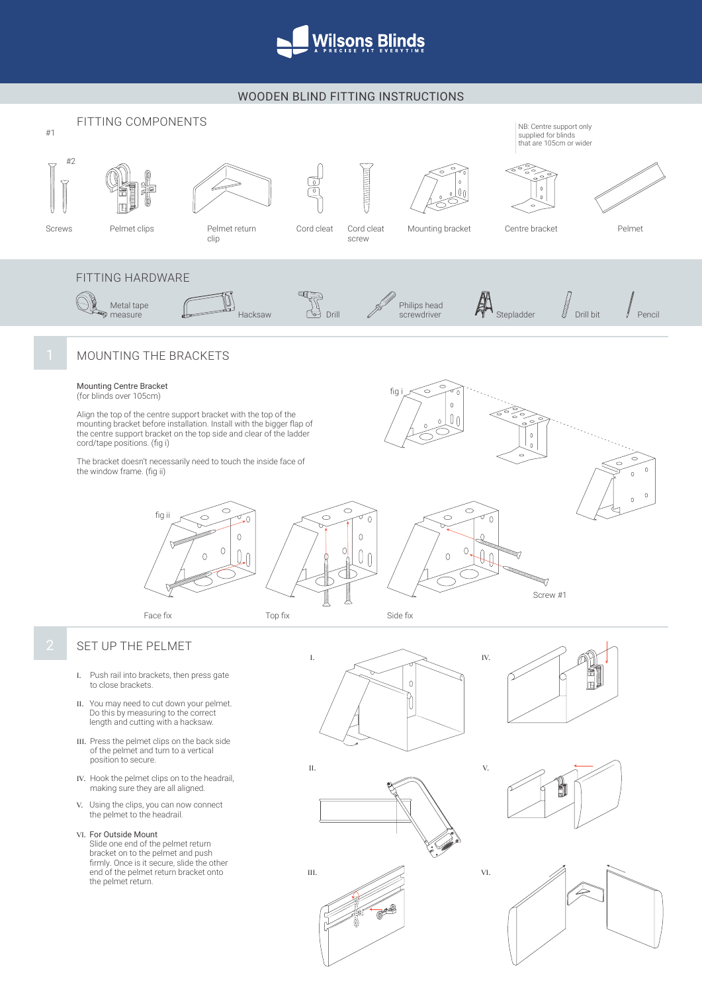

# WOODEN BLIND FITTING INSTRUCTIONS